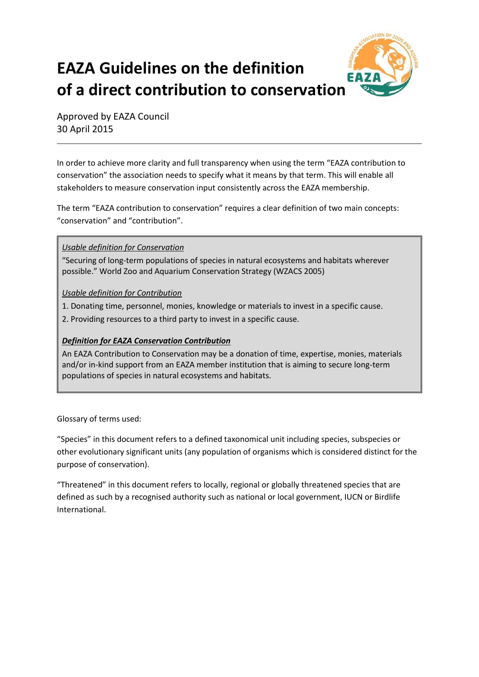# **EAZA Guidelines on the definition of a direct contribution to conservation**



Approved by EAZA Council 30 April 2015

In order to achieve more clarity and full transparency when using the term "EAZA contribution to conservation" the association needs to specify what it means by that term. This will enable all stakeholders to measure conservation input consistently across the EAZA membership.

The term "EAZA contribution to conservation" requires a clear definition of two main concepts: "conservation" and "contribution".

*Usable definition for Conservation*

"Securing of long-term populations of species in natural ecosystems and habitats wherever possible." World Zoo and Aquarium Conservation Strategy (WZACS 2005)

*Usable definition for Contribution*

1. Donating time, personnel, monies, knowledge or materials to invest in a specific cause.

2. Providing resources to a third party to invest in a specific cause.

# *Definition for EAZA Conservation Contribution*

An EAZA Contribution to Conservation may be a donation of time, expertise, monies, materials and/or in-kind support from an EAZA member institution that is aiming to secure long-term populations of species in natural ecosystems and habitats.

Glossary of terms used:

"Species" in this document refers to a defined taxonomical unit including species, subspecies or other evolutionary significant units (any population of organisms which is considered distinct for the purpose of conservation).

"Threatened" in this document refers to locally, regional or globally threatened species that are defined as such by a recognised authority such as national or local government, IUCN or Birdlife International.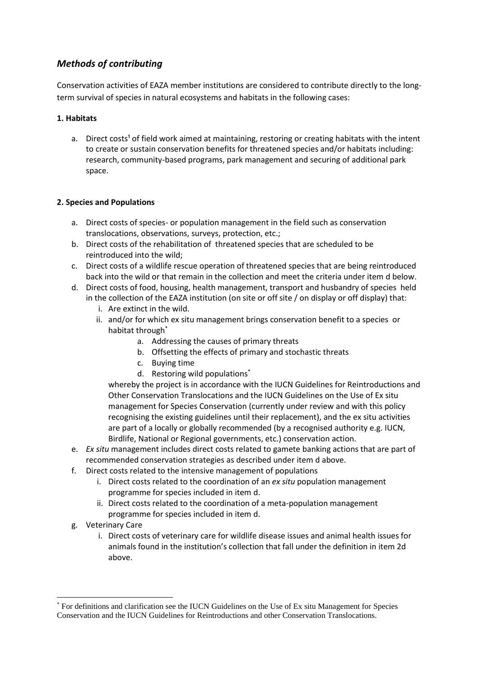# *Methods of contributing*

Conservation activities of EAZA member institutions are considered to contribute directly to the longterm survival of species in natural ecosystems and habitats in the following cases:

# **1. Habitats**

a. Direct costs<sup>1</sup> of field work aimed at maintaining, restoring or creating habitats with the intent to create or sustain conservation benefits for threatened species and/or habitats including: research, community-based programs, park management and securing of additional park space.

# **2. Species and Populations**

- a. Direct costs of species- or population management in the field such as conservation translocations, observations, surveys, protection, etc.;
- b. Direct costs of the rehabilitation of threatened species that are scheduled to be reintroduced into the wild;
- c. Direct costs of a wildlife rescue operation of threatened species that are being reintroduced back into the wild or that remain in the collection and meet the criteria under item d below.
- d. Direct costs of food, housing, health management, transport and husbandry of species held in the collection of the EAZA institution (on site or off site / on display or off display) that:
	- i. Are extinct in the wild.
	- ii. and/or for which ex situ management brings conservation benefit to a species or habitat through<sup>\*</sup>
		- a. Addressing the causes of primary threats
		- b. Offsetting the effects of primary and stochastic threats
		- c. Buying time
		- d. Restoring wild populations<sup>\*</sup>

whereby the project is in accordance with the IUCN Guidelines for Reintroductions and Other Conservation Translocations and the IUCN Guidelines on the Use of Ex situ management for Species Conservation (currently under review and with this policy recognising the existing guidelines until their replacement), and the ex situ activities are part of a locally or globally recommended (by a recognised authority e.g. IUCN, Birdlife, National or Regional governments, etc.) conservation action.

- e. *Ex situ* management includes direct costs related to gamete banking actions that are part of recommended conservation strategies as described under item d above.
- f. Direct costs related to the intensive management of populations
	- i. Direct costs related to the coordination of an *ex situ* population management programme for species included in item d.
	- ii. Direct costs related to the coordination of a meta-population management programme for species included in item d.
- g. Veterinary Care

**.** 

i. Direct costs of veterinary care for wildlife disease issues and animal health issues for animals found in the institution's collection that fall under the definition in item 2d above.

<sup>\*</sup> For definitions and clarification see the IUCN Guidelines on the Use of Ex situ Management for Species Conservation and the IUCN Guidelines for Reintroductions and other Conservation Translocations.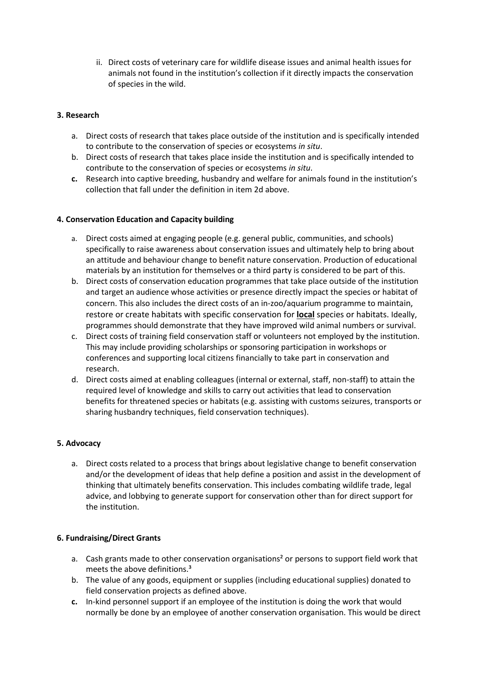ii. Direct costs of veterinary care for wildlife disease issues and animal health issues for animals not found in the institution's collection if it directly impacts the conservation of species in the wild.

## **3. Research**

- a. Direct costs of research that takes place outside of the institution and is specifically intended to contribute to the conservation of species or ecosystems *in situ*.
- b. Direct costs of research that takes place inside the institution and is specifically intended to contribute to the conservation of species or ecosystems *in situ*.
- **c.** Research into captive breeding, husbandry and welfare for animals found in the institution's collection that fall under the definition in item 2d above.

#### **4. Conservation Education and Capacity building**

- a. Direct costs aimed at engaging people (e.g. general public, communities, and schools) specifically to raise awareness about conservation issues and ultimately help to bring about an attitude and behaviour change to benefit nature conservation. Production of educational materials by an institution for themselves or a third party is considered to be part of this.
- b. Direct costs of conservation education programmes that take place outside of the institution and target an audience whose activities or presence directly impact the species or habitat of concern. This also includes the direct costs of an in-zoo/aquarium programme to maintain, restore or create habitats with specific conservation for **local** species or habitats. Ideally, programmes should demonstrate that they have improved wild animal numbers or survival.
- c. Direct costs of training field conservation staff or volunteers not employed by the institution. This may include providing scholarships or sponsoring participation in workshops or conferences and supporting local citizens financially to take part in conservation and research.
- d. Direct costs aimed at enabling colleagues (internal or external, staff, non-staff) to attain the required level of knowledge and skills to carry out activities that lead to conservation benefits for threatened species or habitats (e.g. assisting with customs seizures, transports or sharing husbandry techniques, field conservation techniques).

#### **5. Advocacy**

a. Direct costs related to a process that brings about legislative change to benefit conservation and/or the development of ideas that help define a position and assist in the development of thinking that ultimately benefits conservation. This includes combating wildlife trade, legal advice, and lobbying to generate support for conservation other than for direct support for the institution.

#### **6. Fundraising/Direct Grants**

- a. Cash grants made to other conservation organisations<sup>2</sup> or persons to support field work that meets the above definitions.<sup>3</sup>
- b. The value of any goods, equipment or supplies (including educational supplies) donated to field conservation projects as defined above.
- **c.** In-kind personnel support if an employee of the institution is doing the work that would normally be done by an employee of another conservation organisation. This would be direct